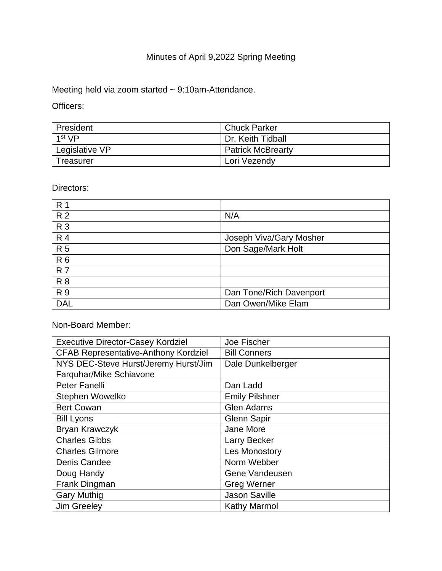# Minutes of April 9,2022 Spring Meeting

Meeting held via zoom started ~ 9:10am-Attendance.

Officers:

| President      | <b>Chuck Parker</b>      |
|----------------|--------------------------|
| 1st VP         | Dr. Keith Tidball        |
| Legislative VP | <b>Patrick McBrearty</b> |
| Treasurer      | Lori Vezendy             |

Directors:

| R 1            |                         |
|----------------|-------------------------|
| R <sub>2</sub> | N/A                     |
| <b>R3</b>      |                         |
| <b>R4</b>      | Joseph Viva/Gary Mosher |
| <b>R5</b>      | Don Sage/Mark Holt      |
| R <sub>6</sub> |                         |
| <b>R7</b>      |                         |
| <b>R8</b>      |                         |
| <b>R9</b>      | Dan Tone/Rich Davenport |
| <b>DAL</b>     | Dan Owen/Mike Elam      |

Non-Board Member:

| <b>Executive Director-Casey Kordziel</b>    | Joe Fischer           |
|---------------------------------------------|-----------------------|
| <b>CFAB Representative-Anthony Kordziel</b> | <b>Bill Conners</b>   |
| NYS DEC-Steve Hurst/Jeremy Hurst/Jim        | Dale Dunkelberger     |
| Farquhar/Mike Schiavone                     |                       |
| <b>Peter Fanelli</b>                        | Dan Ladd              |
| Stephen Wowelko                             | <b>Emily Pilshner</b> |
| <b>Bert Cowan</b>                           | <b>Glen Adams</b>     |
| <b>Bill Lyons</b>                           | <b>Glenn Sapir</b>    |
| Bryan Krawczyk                              | Jane More             |
| <b>Charles Gibbs</b>                        | <b>Larry Becker</b>   |
| <b>Charles Gilmore</b>                      | Les Monostory         |
| Denis Candee                                | Norm Webber           |
| Doug Handy                                  | Gene Vandeusen        |
| Frank Dingman                               | <b>Greg Werner</b>    |
| <b>Gary Muthig</b>                          | <b>Jason Saville</b>  |
| Jim Greeley                                 | Kathy Marmol          |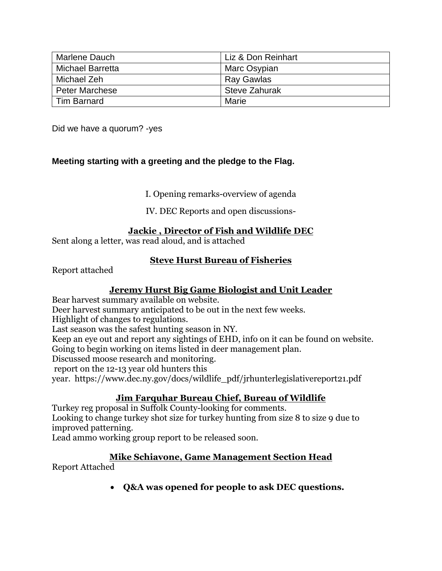| <b>Marlene Dauch</b>    | Liz & Don Reinhart   |
|-------------------------|----------------------|
| <b>Michael Barretta</b> | Marc Osypian         |
| Michael Zeh             | Ray Gawlas           |
| <b>Peter Marchese</b>   | <b>Steve Zahurak</b> |
| <b>Tim Barnard</b>      | Marie                |

Did we have a quorum? -yes

# **Meeting starting with a greeting and the pledge to the Flag.**

I. Opening remarks-overview of agenda

IV. DEC Reports and open discussions-

#### **Jackie , Director of Fish and Wildlife DEC**

Sent along a letter, was read aloud, and is attached

### **Steve Hurst Bureau of Fisheries**

Report attached

### **Jeremy Hurst Big Game Biologist and Unit Leader**

Bear harvest summary available on website. Deer harvest summary anticipated to be out in the next few weeks. Highlight of changes to regulations. Last season was the safest hunting season in NY. Keep an eye out and report any sightings of EHD, info on it can be found on website. Going to begin working on items listed in deer management plan. Discussed moose research and monitoring. report on the 12-13 year old hunters this year. [https://www.dec.ny.gov/docs/wildlife\\_pdf/jrhunterlegislativereport21.pdf](https://www.dec.ny.gov/docs/wildlife_pdf/jrhunterlegislativereport21.pdf)

# **Jim Farquhar Bureau Chief, Bureau of Wildlife**

Turkey reg proposal in Suffolk County-looking for comments. Looking to change turkey shot size for turkey hunting from size 8 to size 9 due to improved patterning.

Lead ammo working group report to be released soon.

### **Mike Schiavone, Game Management Section Head**

Report Attached

• **Q&A was opened for people to ask DEC questions.**